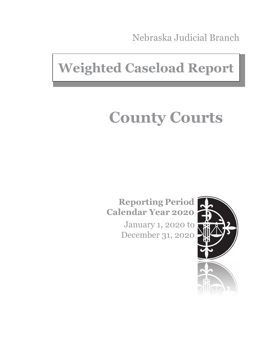Nebraska Judicial Branch

## **Weighted Caseload Report**

# **County Courts**

**Reporting Period Calendar Year 2020**

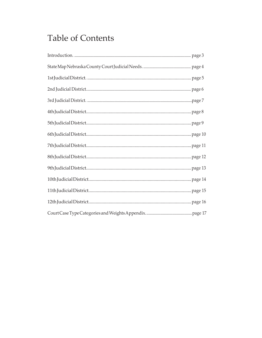#### **Table of Contents**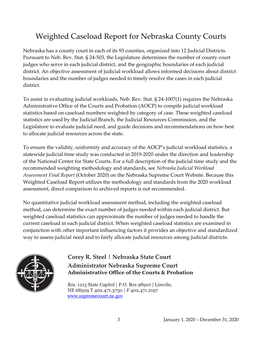#### Weighted Caseload Report for Nebraska County Courts

Nebraska has a county court in each of its 93 counties, organized into 12 Judicial Districts. Pursuant to Neb. Rev. Stat. § 24-503, the Legislature determines the number of county court judges who serve in each judicial district, and the geographic boundaries of each judicial district. An objective assessment of judicial workload allows informed decisions about district boundaries and the number of judges needed to timely resolve the cases in each judicial district.

To assist in evaluating judicial workloads, Neb. Rev. Stat. § 24-1007(1) requires the Nebraska Administrative Office of the Courts and Probation (AOCP) to compile judicial workload statistics based on caseload numbers weighted by category of case. These weighted caseload statistics are used by the Judicial Branch, the Judicial Resources Commission, and the Legislature to evaluate judicial need, and guide decisions and recommendations on how best to allocate judicial resources across the state.

To ensure the validity, uniformity and accuracy of the AOCP's judicial workload statistics, a statewide judicial time study was conducted in 2019-2020 under the direction and leadership of the National Center for State Courts. For a full description of the judicial time study and the recommended weighting methodology and standards, see *Nebraska Judicial Workload Assessment Final Report* (October 2020) on the Nebraska Supreme Court Website. Because this Weighted Caseload Report utilizes the methodology and standards from the 2020 workload assessment, direct comparison to archived reports is not recommended.

No quantitative judicial workload assessment method, including the weighted caseload method, can determine the exact number of judges needed within each judicial district. But weighted caseload statistics can approximate the number of judges needed to handle the current caseload in each judicial district. When weighted caseload statistics are examined in conjunction with other important influencing factors it provides an objective and standardized way to assess judicial need and to fairly allocate judicial resources among judicial districts.



#### **Corey R. Steel | Nebraska State Court Administrator Nebraska Supreme Court Administrative Office of the Courts & Probation**

Rm. 1213 State Capitol | P.O. Box 98910 | Lincoln, NE 68509 T 402.471.3730 | F 402.471.2197 [www.supremecourt.ne.gov](http://www.supremecourt.ne.gov/)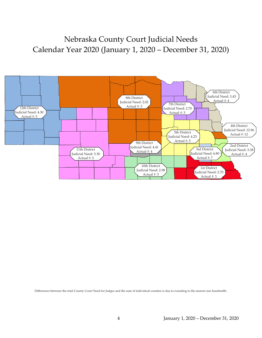#### Nebraska County Court Judicial Needs Calendar Year 2020 (January 1, 2020 – December 31, 2020)



Differences between the total County Court Need for Judges and the sum of individual counties is due to rounding to the nearest one-hundredth.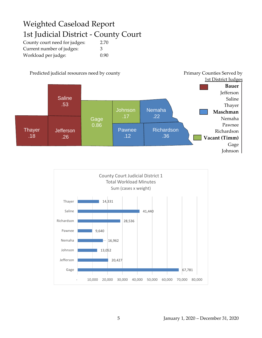#### Weighted Caseload Report 1st Judicial District - County Court

County court need for judges: 2.70 Current number of judges: 3 Workload per judge: 0.90



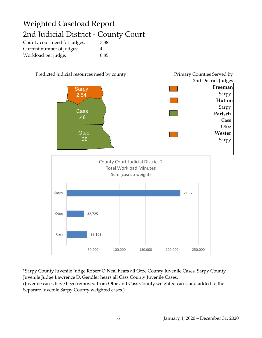### Weighted Caseload Report 2nd Judicial District - County Court

County court need for judges: 3.38 Current number of judges: 4 Workload per judge: 0.85



\*Sarpy County Juvenile Judge Robert O'Neal hears all Otoe County Juvenile Cases. Sarpy County Juvenile Judge Lawrence D. Gendler hears all Cass County Juvenile Cases. (Juvenile cases have been removed from Otoe and Cass County weighted cases and added to the Separate Juvenile Sarpy County weighted cases.)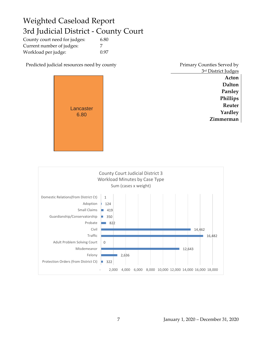#### Weighted Caseload Report 3rd Judicial District - County Court

| County court need for judges: | 6.80 |
|-------------------------------|------|
| Current number of judges:     | 7    |
| Workload per judge:           | 0.97 |

Predicted judicial resources need by county



| Primary Counties Served by |
|----------------------------|
| 3rd District Judges        |
| Acton                      |
| Dalton                     |
| <b>Parsley</b>             |
| Phillips                   |
| Reuter                     |
| Yardley                    |
| merman                     |

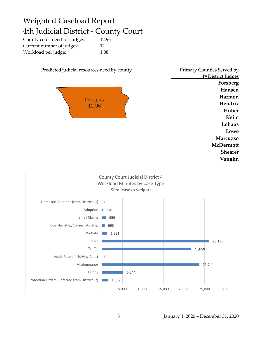#### Weighted Caseload Report 4th Judicial District - County Court

| County court need for judges: | 12.96 |
|-------------------------------|-------|
| Current number of judges:     | 12    |
| Workload per judge:           | 1.08  |



<u>4th District Judges</u> **Forsberg Hansen Harmon Hendrix Huber Keim Lohaus Lowe Marcuzzo McDermott Shearer Vaughn**

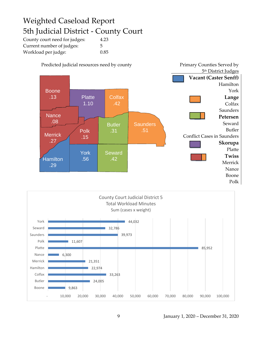#### Weighted Caseload Report 5th Judicial District - County Court

| County court need for judges: | 4.23 |
|-------------------------------|------|
| Current number of judges:     | 5    |
| Workload per judge:           | 0.85 |



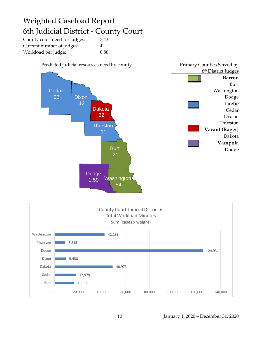#### Weighted Caseload Report 6th Judicial District - County Court

| County court need for judges: | 3.43 |
|-------------------------------|------|
| Current number of judges:     | 4    |
| Workload per judge:           | 0.86 |



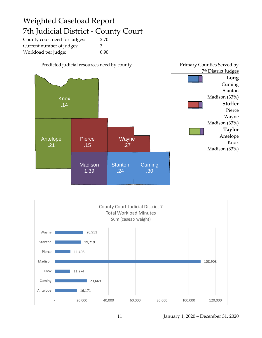#### Weighted Caseload Report 7th Judicial District - County Court

| County court need for judges: | 2.70 |
|-------------------------------|------|
| Current number of judges:     | 3    |
| Workload per judge:           | 0.90 |



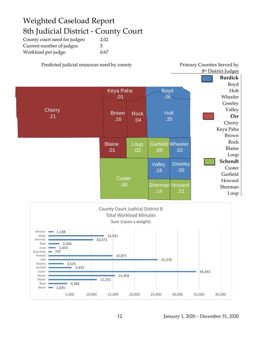#### Weighted Caseload Report 8th Judicial District - County Court

| County court need for judges: | 2.02 |
|-------------------------------|------|
| Current number of judges:     | 3    |
| Workload per judge:           | 0.67 |

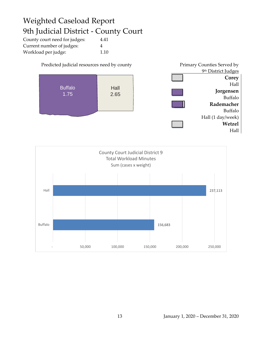#### Weighted Caseload Report 9th Judicial District - County Court

| County court need for judges: | 4.41 |
|-------------------------------|------|
| Current number of judges:     | 4    |
| Workload per judge:           | 1.10 |

Predicted judicial resources need by county Primary Counties Served by <u>9th District Judges</u> **Corey** Hall **Jorgensen** Buffalo **Rademacher** Buffalo Hall (1 day/week) **Wetzel** Hall Buffalo 1.75 Hall 2.65

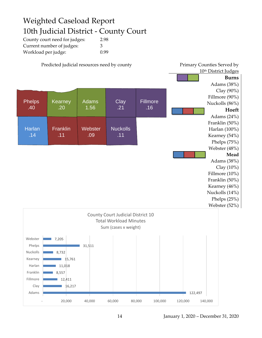#### Weighted Caseload Report 10th Judicial District - County Court

| County court need for judges: | 2.98 |
|-------------------------------|------|
| Current number of judges:     | 3    |
| Workload per judge:           | 0.99 |

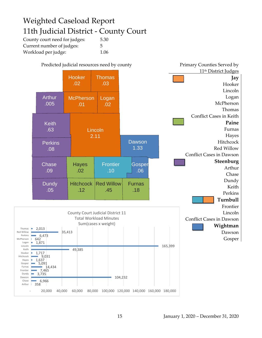#### Weighted Caseload Report 11th Judicial District - County Court

| County court need for judges: | 5.30 |
|-------------------------------|------|
| Current number of judges:     | .5.  |
| Workload per judge:           | 1.06 |

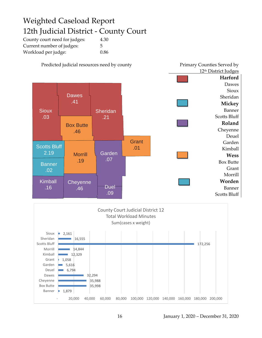#### Weighted Caseload Report 12th Judicial District - County Court

| County court need for judges: | 4.30 |
|-------------------------------|------|
| Current number of judges:     | 5    |
| Workload per judge:           | 0.86 |